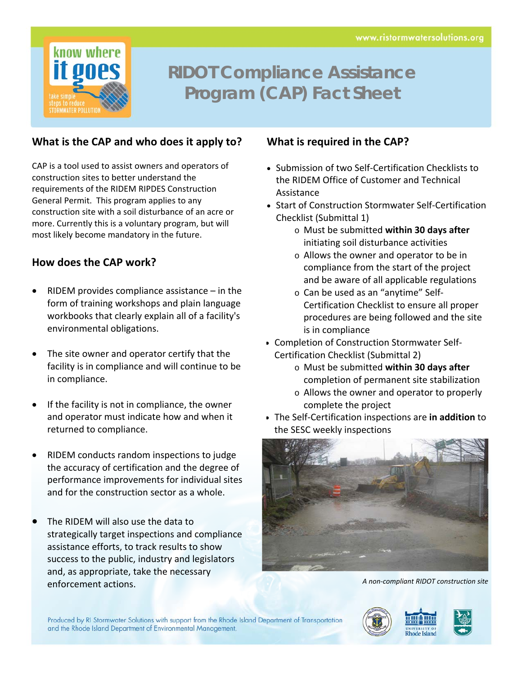

# **RIDOT Compliance Assistance Program (CAP) Fact Sheet**

#### **What is the CAP and who does it apply to?**

CAP is a tool used to assist owners and operators of construction sites to better understand the requirements of the RIDEM RIPDES Construction General Permit. This program applies to any construction site with a soil disturbance of an acre or more. Currently this is a voluntary program, but will most likely become mandatory in the future.

#### **How does the CAP work?**

- RIDEM provides compliance assistance in the form of training workshops and plain language workbooks that clearly explain all of a facility's environmental obligations.
- The site owner and operator certify that the facility is in compliance and will continue to be in compliance.
- If the facility is not in compliance, the owner and operator must indicate how and when it returned to compliance.
- RIDEM conducts random inspections to judge the accuracy of certification and the degree of performance improvements for individual sites and for the construction sector as a whole.
- The RIDEM will also use the data to strategically target inspections and compliance assistance efforts, to track results to show success to the public, industry and legislators and, as appropriate, take the necessary enforcement actions. *<sup>A</sup> non‐compliant RIDOT construction site*

#### **What is required in the CAP?**

- Submission of two Self-Certification Checklists to the RIDEM Office of Customer and Technical Assistance
- Start of Construction Stormwater Self-Certification Checklist (Submittal 1)
	- o Must be submitted **within 30 days after** initiating soil disturbance activities
	- o Allows the owner and operator to be in compliance from the start of the project and be aware of all applicable regulations
	- o Can be used as an "anytime" Self‐ Certification Checklist to ensure all proper procedures are being followed and the site is in compliance
- Completion of Construction Stormwater Self-Certification Checklist (Submittal 2)
	- o Must be submitted **within 30 days after** completion of permanent site stabilization
	- o Allows the owner and operator to properly complete the project
- The Self‐Certification inspections are **in addition** to the SESC weekly inspections



Produced by RI Stormwater Solutions with support from the Rhode Island Department of Transportation and the Rhode Island Department of Environmental Management.